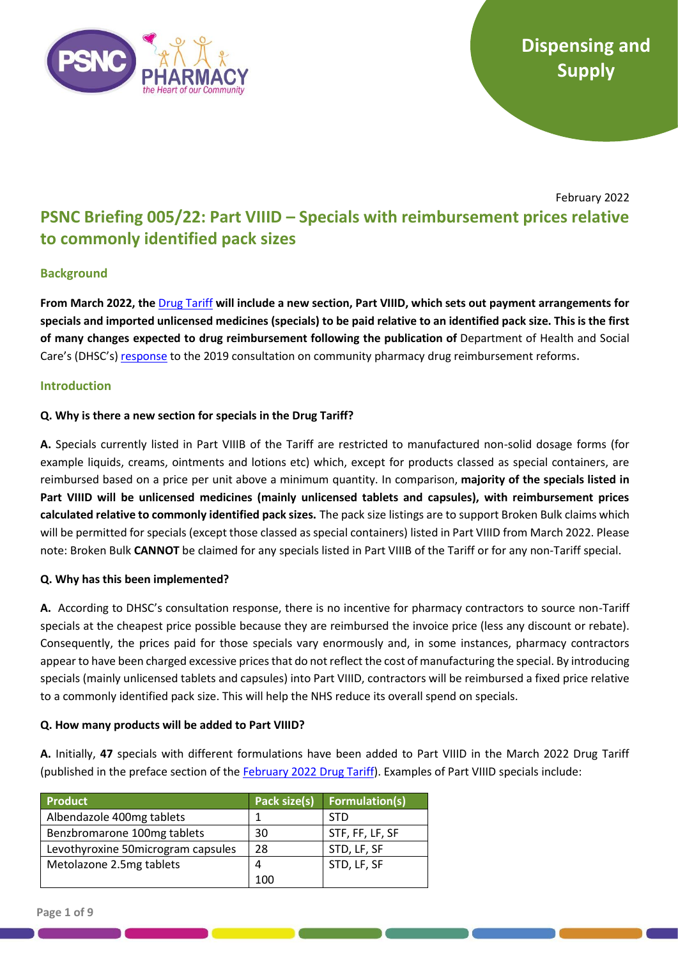

# February 2022 **PSNC Briefing 005/22: Part VIIID – Specials with reimbursement prices relative to commonly identified pack sizes**

## **Background**

**From March 2022, the** [Drug Tariff](https://www.nhsbsa.nhs.uk/pharmacies-gp-practices-and-appliance-contractors/drug-tariff) **will include a new section, Part VIIID, which sets out payment arrangements for specials and imported unlicensed medicines (specials) to be paid relative to an identified pack size. This is the first of many changes expected to drug reimbursement following the publication of** Department of Health and Social Care's (DHSC's) [response](https://www.gov.uk/government/consultations/community-pharmacy-drug-reimbursement-reform) to the 2019 consultation on community pharmacy drug reimbursement reforms**.**

## **Introduction**

## **Q. Why is there a new section for specials in the Drug Tariff?**

**A.** Specials currently listed in Part VIIIB of the Tariff are restricted to manufactured non-solid dosage forms (for example liquids, creams, ointments and lotions etc) which, except for products classed as special containers, are reimbursed based on a price per unit above a minimum quantity. In comparison, **majority of the specials listed in Part VIIID will be unlicensed medicines (mainly unlicensed tablets and capsules), with reimbursement prices calculated relative to commonly identified pack sizes.** The pack size listings are to support Broken Bulk claims which will be permitted for specials (except those classed as special containers) listed in Part VIIID from March 2022. Please note: Broken Bulk **CANNOT** be claimed for any specials listed in Part VIIIB of the Tariff or for any non-Tariff special.

### **Q. Why has this been implemented?**

**A.** According to DHSC's consultation response, there is no incentive for pharmacy contractors to source non-Tariff specials at the cheapest price possible because they are reimbursed the invoice price (less any discount or rebate). Consequently, the prices paid for those specials vary enormously and, in some instances, pharmacy contractors appear to have been charged excessive prices that do not reflect the cost of manufacturing the special. By introducing specials (mainly unlicensed tablets and capsules) into Part VIIID, contractors will be reimbursed a fixed price relative to a commonly identified pack size. This will help the NHS reduce its overall spend on specials.

### **Q. How many products will be added to Part VIIID?**

**A.** Initially, **47** specials with different formulations have been added to Part VIIID in the March 2022 Drug Tariff (published in the preface section of the [February 2022 Drug Tariff\)](https://www.nhsbsa.nhs.uk/pharmacies-gp-practices-and-appliance-contractors/drug-tariff). Examples of Part VIIID specials include:

| <b>Product</b>                     | Pack size(s) | <b>Formulation(s)</b> |
|------------------------------------|--------------|-----------------------|
| Albendazole 400mg tablets          |              | STD                   |
| Benzbromarone 100mg tablets        | 30           | STF, FF, LF, SF       |
| Levothyroxine 50microgram capsules | 28           | STD, LF, SF           |
| Metolazone 2.5mg tablets           | 4            | STD, LF, SF           |
|                                    | 100          |                       |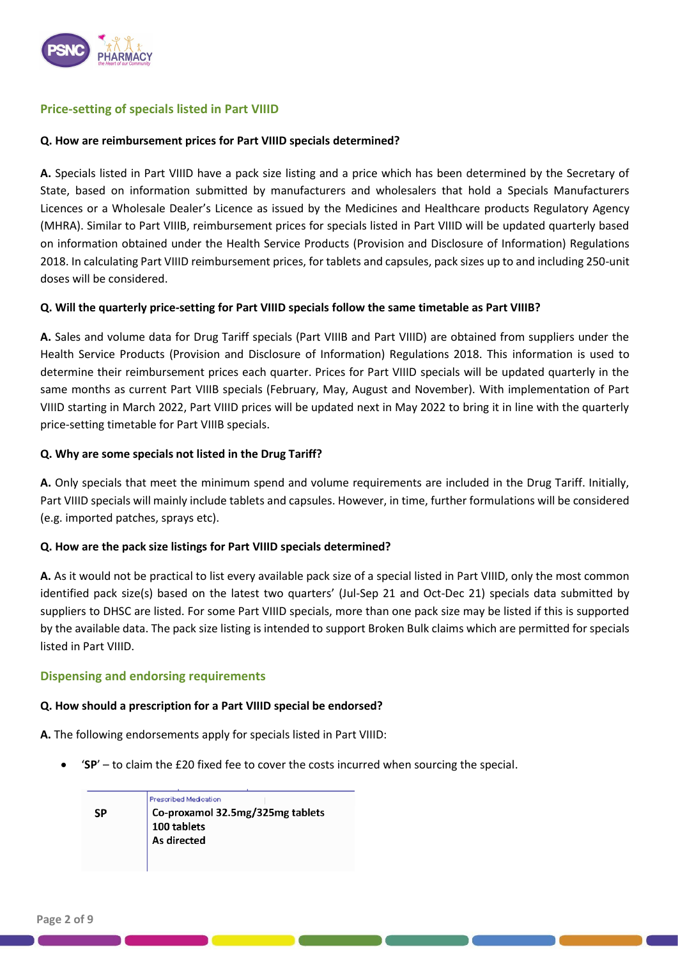

## **Price-setting of specials listed in Part VIIID**

### **Q. How are reimbursement prices for Part VIIID specials determined?**

**A.** Specials listed in Part VIIID have a pack size listing and a price which has been determined by the Secretary of State, based on information submitted by manufacturers and wholesalers that hold a Specials Manufacturers Licences or a Wholesale Dealer's Licence as issued by the Medicines and Healthcare products Regulatory Agency (MHRA). Similar to Part VIIIB, reimbursement prices for specials listed in Part VIIID will be updated quarterly based on information obtained under the Health Service Products (Provision and Disclosure of Information) Regulations 2018. In calculating Part VIIID reimbursement prices, for tablets and capsules, pack sizes up to and including 250-unit doses will be considered.

### **Q. Will the quarterly price-setting for Part VIIID specials follow the same timetable as Part VIIIB?**

**A.** Sales and volume data for Drug Tariff specials (Part VIIIB and Part VIIID) are obtained from suppliers under the Health Service Products (Provision and Disclosure of Information) Regulations 2018. This information is used to determine their reimbursement prices each quarter. Prices for Part VIIID specials will be updated quarterly in the same months as current Part VIIIB specials (February, May, August and November). With implementation of Part VIIID starting in March 2022, Part VIIID prices will be updated next in May 2022 to bring it in line with the quarterly price-setting timetable for Part VIIIB specials.

### **Q. Why are some specials not listed in the Drug Tariff?**

**A.** Only specials that meet the minimum spend and volume requirements are included in the Drug Tariff. Initially, Part VIIID specials will mainly include tablets and capsules. However, in time, further formulations will be considered (e.g. imported patches, sprays etc).

### **Q. How are the pack size listings for Part VIIID specials determined?**

**A.** As it would not be practical to list every available pack size of a special listed in Part VIIID, only the most common identified pack size(s) based on the latest two quarters' (Jul-Sep 21 and Oct-Dec 21) specials data submitted by suppliers to DHSC are listed. For some Part VIIID specials, more than one pack size may be listed if this is supported by the available data. The pack size listing is intended to support Broken Bulk claims which are permitted for specials listed in Part VIIID.

### **Dispensing and endorsing requirements**

### **Q. How should a prescription for a Part VIIID special be endorsed?**

**A.** The following endorsements apply for specials listed in Part VIIID:

• '**SP**' – to claim the £20 fixed fee to cover the costs incurred when sourcing the special.

Prescribed Medication **SP** Co-proxamol 32.5mg/325mg tablets 100 tablets As directed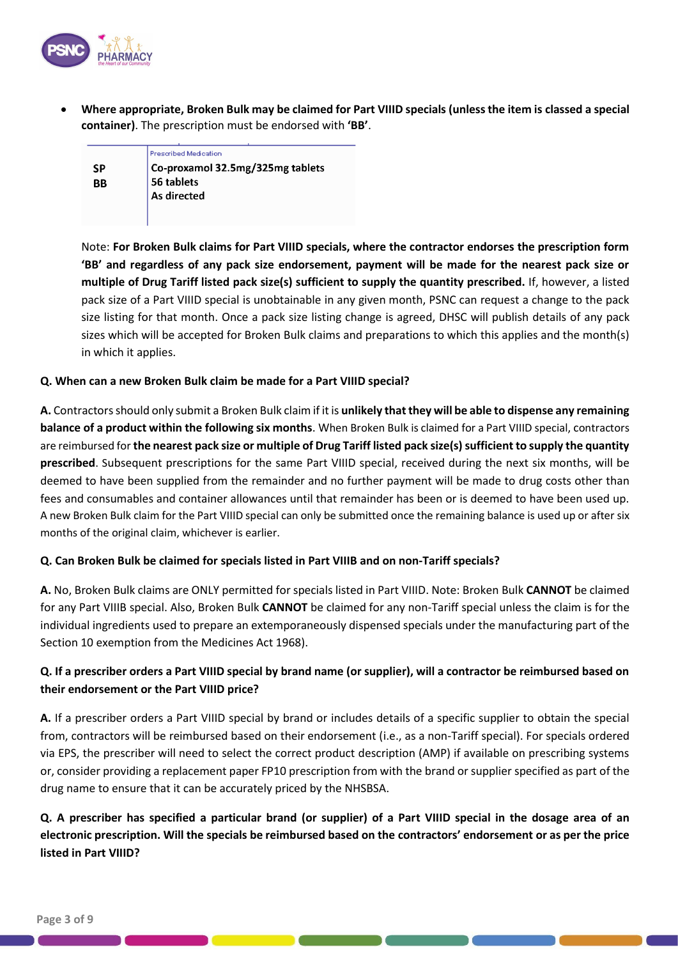

• **Where appropriate, Broken Bulk may be claimed for Part VIIID specials (unless the item is classed a special container)**. The prescription must be endorsed with **'BB'**.

|    | Prescribed Medication            |
|----|----------------------------------|
|    |                                  |
| SP | Co-proxamol 32.5mg/325mg tablets |
| ВB | 56 tablets                       |
|    | As directed                      |
|    |                                  |
|    |                                  |

Note: **For Broken Bulk claims for Part VIIID specials, where the contractor endorses the prescription form 'BB' and regardless of any pack size endorsement, payment will be made for the nearest pack size or multiple of Drug Tariff listed pack size(s) sufficient to supply the quantity prescribed.** If, however, a listed pack size of a Part VIIID special is unobtainable in any given month, PSNC can request a change to the pack size listing for that month. Once a pack size listing change is agreed, DHSC will publish details of any pack sizes which will be accepted for Broken Bulk claims and preparations to which this applies and the month(s) in which it applies.

### **Q. When can a new Broken Bulk claim be made for a Part VIIID special?**

**A.** Contractors should only submit a Broken Bulk claim if it is **unlikely that they will be able to dispense any remaining balance of a product within the following six months**. When Broken Bulk is claimed for a Part VIIID special, contractors are reimbursed for **the nearest pack size or multiple of Drug Tariff listed pack size(s) sufficient to supply the quantity prescribed**. Subsequent prescriptions for the same Part VIIID special, received during the next six months, will be deemed to have been supplied from the remainder and no further payment will be made to drug costs other than fees and consumables and container allowances until that remainder has been or is deemed to have been used up. A new Broken Bulk claim for the Part VIIID special can only be submitted once the remaining balance is used up or after six months of the original claim, whichever is earlier.

### **Q. Can Broken Bulk be claimed for specials listed in Part VIIIB and on non-Tariff specials?**

**A.** No, Broken Bulk claims are ONLY permitted for specials listed in Part VIIID. Note: Broken Bulk **CANNOT** be claimed for any Part VIIIB special. Also, Broken Bulk **CANNOT** be claimed for any non-Tariff special unless the claim is for the individual ingredients used to prepare an extemporaneously dispensed specials under the manufacturing part of the Section 10 exemption from the Medicines Act 1968).

## **Q. If a prescriber orders a Part VIIID special by brand name (or supplier), will a contractor be reimbursed based on their endorsement or the Part VIIID price?**

**A.** If a prescriber orders a Part VIIID special by brand or includes details of a specific supplier to obtain the special from, contractors will be reimbursed based on their endorsement (i.e., as a non-Tariff special). For specials ordered via EPS, the prescriber will need to select the correct product description (AMP) if available on prescribing systems or, consider providing a replacement paper FP10 prescription from with the brand or supplier specified as part of the drug name to ensure that it can be accurately priced by the NHSBSA.

**Q. A prescriber has specified a particular brand (or supplier) of a Part VIIID special in the dosage area of an electronic prescription. Will the specials be reimbursed based on the contractors' endorsement or as per the price listed in Part VIIID?**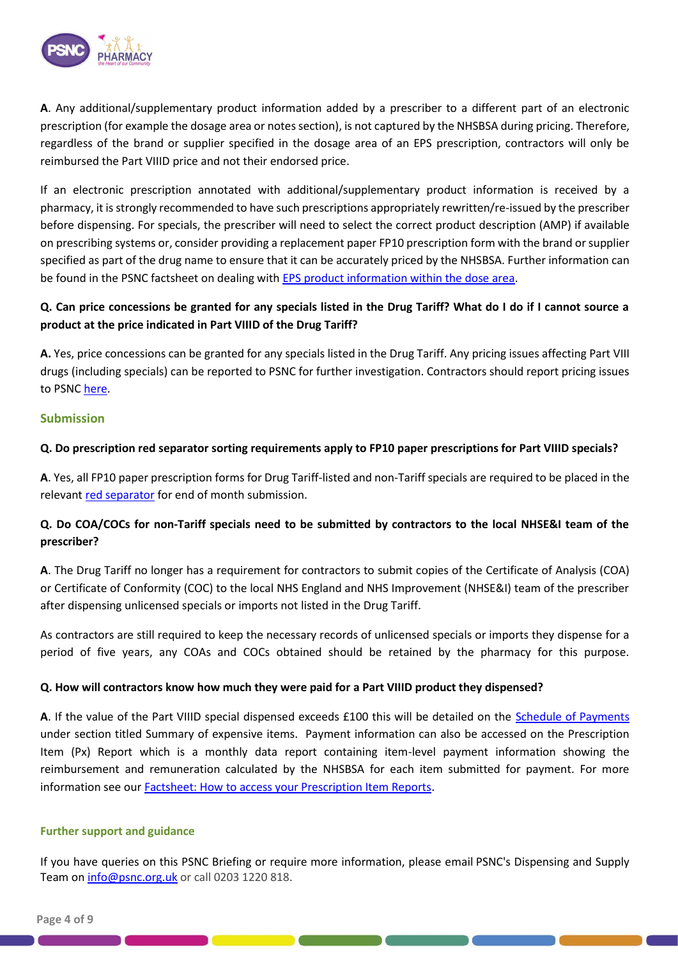

**A**. Any additional/supplementary product information added by a prescriber to a different part of an electronic prescription (for example the dosage area or notes section), is not captured by the NHSBSA during pricing. Therefore, regardless of the brand or supplier specified in the dosage area of an EPS prescription, contractors will only be reimbursed the Part VIIID price and not their endorsed price.

If an electronic prescription annotated with additional/supplementary product information is received by a pharmacy, it is strongly recommended to have such prescriptions appropriately rewritten/re-issued by the prescriber before dispensing. For specials, the prescriber will need to select the correct product description (AMP) if available on prescribing systems or, consider providing a replacement paper FP10 prescription form with the brand or supplier specified as part of the drug name to ensure that it can be accurately priced by the NHSBSA. Further information can be found in the PSNC factsheet on dealing with [EPS product information within the dose area.](https://psnc.org.uk/wp-content/uploads/2020/06/PSNC-IT-factsheet-Problem-with-EPS-product-info-in-dose-instruction-area.pdf)

## **Q. Can price concessions be granted for any specials listed in the Drug Tariff? What do I do if I cannot source a product at the price indicated in Part VIIID of the Drug Tariff?**

**A.** Yes, price concessions can be granted for any specials listed in the Drug Tariff. Any pricing issues affecting Part VIII drugs (including specials) can be reported to PSNC for further investigation. Contractors should report pricing issues to PSN[C here.](https://psnc.org.uk/dispensing-supply/supply-chain/supply-issues-feedback/problems-with-obtaining-a-generic-medicine/)

## **Submission**

### **Q. Do prescription red separator sorting requirements apply to FP10 paper prescriptions for Part VIIID specials?**

**A**. Yes, all FP10 paper prescription forms for Drug Tariff-listed and non-Tariff specials are required to be placed in the relevant [red separator](https://psnc.org.uk/dispensing-supply/payment-accuracy/prescription-submission/red-separator-use-for-end-of-month-submission/) for end of month submission.

## **Q. Do COA/COCs for non-Tariff specials need to be submitted by contractors to the local NHSE&I team of the prescriber?**

**A**. The Drug Tariff no longer has a requirement for contractors to submit copies of the Certificate of Analysis (COA) or Certificate of Conformity (COC) to the local NHS England and NHS Improvement (NHSE&I) team of the prescriber after dispensing unlicensed specials or imports not listed in the Drug Tariff.

As contractors are still required to keep the necessary records of unlicensed specials or imports they dispense for a period of five years, any COAs and COCs obtained should be retained by the pharmacy for this purpose.

### **Q. How will contractors know how much they were paid for a Part VIIID product they dispensed?**

**A**. If the value of the Part VIIID special dispensed exceeds £100 this will be detailed on the [Schedule of Payments](https://psnc.org.uk/dispensing-supply/payment-accuracy/monthly-payments/interactive-fp34/) under section titled Summary of expensive items. Payment information can also be accessed on the Prescription Item (Px) Report which is a monthly data report containing item-level payment information showing the reimbursement and remuneration calculated by the NHSBSA for each item submitted for payment. For more information see ou[r Factsheet: How to access your Prescription Item Reports.](https://psnc.org.uk/wp-content/uploads/2021/09/Dispensing-Factsheet-How-to-access-your-Prescription-Item-Reports.pdf)

### **Further support and guidance**

If you have queries on this PSNC Briefing or require more information, please email PSNC's Dispensing and Supply Team on [info@psnc.org.uk](mailto:info@psnc.org.uk) or call 0203 1220 818.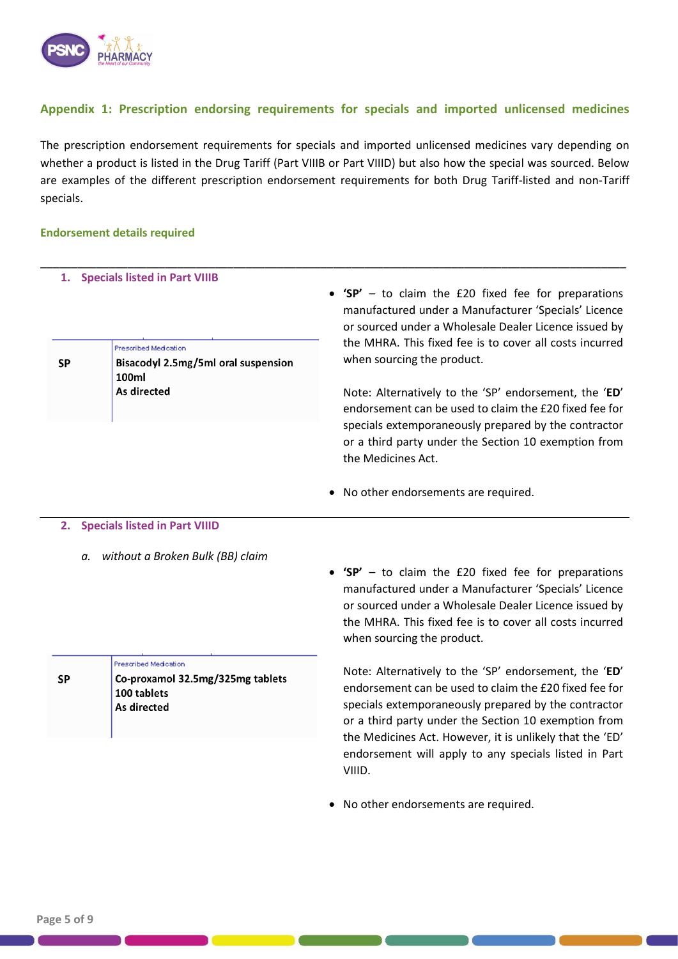

## **Appendix 1: Prescription endorsing requirements for specials and imported unlicensed medicines**

The prescription endorsement requirements for specials and imported unlicensed medicines vary depending on whether a product is listed in the Drug Tariff (Part VIIIB or Part VIIID) but also how the special was sourced. Below are examples of the different prescription endorsement requirements for both Drug Tariff-listed and non-Tariff specials.

\_\_\_\_\_\_\_\_\_\_\_\_\_\_\_\_\_\_\_\_\_\_\_\_\_\_\_\_\_\_\_\_\_\_\_\_\_\_\_\_\_\_\_\_\_\_\_\_\_\_\_\_\_\_\_\_\_\_\_\_\_\_\_\_\_\_\_\_\_\_\_\_\_\_\_\_\_\_\_\_\_\_\_\_\_\_\_\_\_\_\_\_\_\_

#### **Endorsement details required**

|           | 1. Specials listed in Part VIIIB                                      | • 'SP' $-$ to claim the £20 fixed fee for preparations<br>manufactured under a Manufacturer 'Specials' Licence<br>or sourced under a Wholesale Dealer Licence issued by                                                                               |
|-----------|-----------------------------------------------------------------------|-------------------------------------------------------------------------------------------------------------------------------------------------------------------------------------------------------------------------------------------------------|
| <b>SP</b> | Prescribed Medication<br>Bisacodyl 2.5mg/5ml oral suspension<br>100ml | the MHRA. This fixed fee is to cover all costs incurred<br>when sourcing the product.                                                                                                                                                                 |
|           | As directed                                                           | Note: Alternatively to the 'SP' endorsement, the 'ED'<br>endorsement can be used to claim the £20 fixed fee for<br>specials extemporaneously prepared by the contractor<br>or a third party under the Section 10 exemption from<br>the Medicines Act. |

• No other endorsements are required.

#### **2. Specials listed in Part VIIID**

*a. without a Broken Bulk (BB) claim*

|    | Prescribed Medication                           |  |
|----|-------------------------------------------------|--|
| SP | Co-proxamol 32.5mg/325mg tablets<br>100 tablets |  |
|    | As directed                                     |  |
|    |                                                 |  |

• **'SP'** – to claim the £20 fixed fee for preparations manufactured under a Manufacturer 'Specials' Licence or sourced under a Wholesale Dealer Licence issued by the MHRA. This fixed fee is to cover all costs incurred when sourcing the product.

Note: Alternatively to the 'SP' endorsement, the '**ED**' endorsement can be used to claim the £20 fixed fee for specials extemporaneously prepared by the contractor or a third party under the Section 10 exemption from the Medicines Act. However, it is unlikely that the 'ED' endorsement will apply to any specials listed in Part VIIID.

• No other endorsements are required.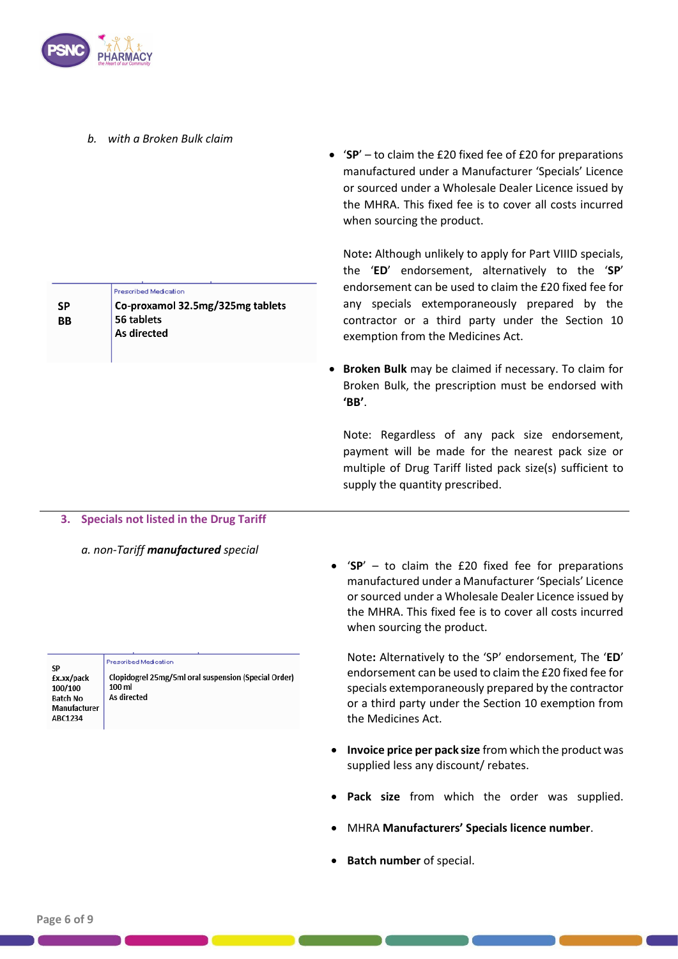

**SP BB**  *b. with a Broken Bulk claim*

Prescribed Medication

56 tablets As directed

Co-proxamol 32.5mg/325mg tablets

• '**SP**' – to claim the £20 fixed fee of £20 for preparations manufactured under a Manufacturer 'Specials' Licence or sourced under a Wholesale Dealer Licence issued by the MHRA. This fixed fee is to cover all costs incurred when sourcing the product.

Note**:** Although unlikely to apply for Part VIIID specials, the '**ED**' endorsement, alternatively to the '**SP**' endorsement can be used to claim the £20 fixed fee for any specials extemporaneously prepared by the contractor or a third party under the Section 10 exemption from the Medicines Act.

• **Broken Bulk** may be claimed if necessary. To claim for Broken Bulk, the prescription must be endorsed with **'BB'**.

Note: Regardless of any pack size endorsement, payment will be made for the nearest pack size or multiple of Drug Tariff listed pack size(s) sufficient to supply the quantity prescribed.

### **3. Specials not listed in the Drug Tariff**

*a. non-Tariff manufactured special*

• '**SP**' – to claim the £20 fixed fee for preparations manufactured under a Manufacturer 'Specials' Licence or sourced under a Wholesale Dealer Licence issued by the MHRA. This fixed fee is to cover all costs incurred when sourcing the product.

Note**:** Alternatively to the 'SP' endorsement, The '**ED**' endorsement can be used to claim the £20 fixed fee for specials extemporaneously prepared by the contractor or a third party under the Section 10 exemption from the Medicines Act.

- **Invoice price per pack size** from which the product was supplied less any discount/ rebates.
- Pack size from which the order was supplied.
- MHRA **Manufacturers' Specials licence number**.
- **Batch number** of special.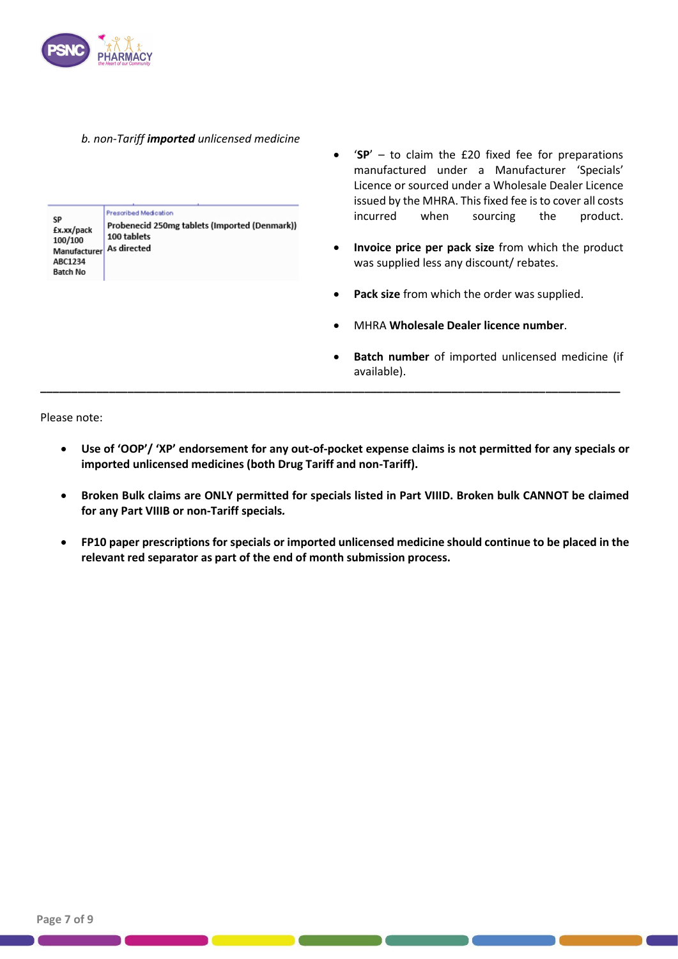

#### *b. non-Tariff imported unlicensed medicine*

| SP<br>£x.xx/pack<br>100/100<br>Manufacturer<br>ABC1234<br><b>Batch No</b> | Prescribed Medication<br>Probenecid 250mg tablets (Imported (Denmark))<br>100 tablets<br>As directed |
|---------------------------------------------------------------------------|------------------------------------------------------------------------------------------------------|
|---------------------------------------------------------------------------|------------------------------------------------------------------------------------------------------|

- '**SP**' to claim the £20 fixed fee for preparations manufactured under a Manufacturer 'Specials' Licence or sourced under a Wholesale Dealer Licence issued by the MHRA. This fixed fee is to cover all costs incurred when sourcing the product.
- **Invoice price per pack size** from which the product was supplied less any discount/ rebates.
- **Pack size** from which the order was supplied.
- MHRA **Wholesale Dealer licence number**.
- **Batch number** of imported unlicensed medicine (if available).

Please note:

• **Use of 'OOP'/ 'XP' endorsement for any out-of-pocket expense claims is not permitted for any specials or imported unlicensed medicines (both Drug Tariff and non-Tariff).**

**\_\_\_\_\_\_\_\_\_\_\_\_\_\_\_\_\_\_\_\_\_\_\_\_\_\_\_\_\_\_\_\_\_\_\_\_\_\_\_\_\_\_\_\_\_\_\_\_\_\_\_\_\_\_\_\_\_\_\_\_\_\_\_\_\_\_\_\_\_\_\_\_\_\_\_\_\_\_\_\_\_\_\_\_\_\_\_\_\_\_\_\_\_**

- **Broken Bulk claims are ONLY permitted for specials listed in Part VIIID. Broken bulk CANNOT be claimed for any Part VIIIB or non-Tariff specials***.*
- **FP10 paper prescriptions for specials or imported unlicensed medicine should continue to be placed in the relevant red separator as part of the end of month submission process.**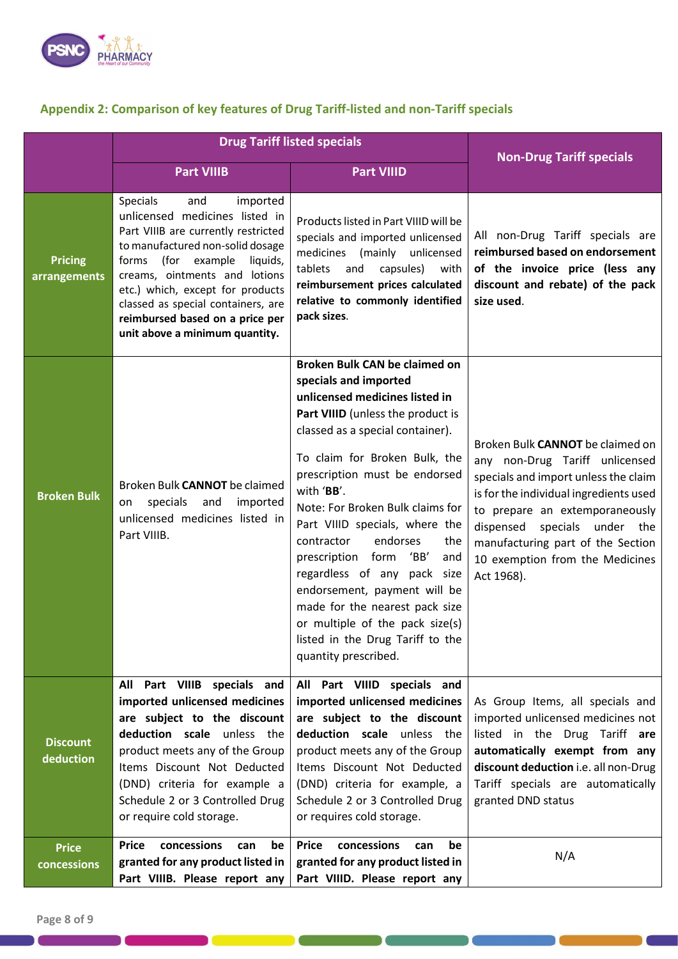

# **Appendix 2: Comparison of key features of Drug Tariff-listed and non-Tariff specials**

|                                | <b>Drug Tariff listed specials</b>                                                                                                                                                                                                                                                                                                                                   |                                                                                                                                                                                                                                                                                                                                                                                                                                                                                                                                                                                           | <b>Non-Drug Tariff specials</b>                                                                                                                                                                                                                                                                              |
|--------------------------------|----------------------------------------------------------------------------------------------------------------------------------------------------------------------------------------------------------------------------------------------------------------------------------------------------------------------------------------------------------------------|-------------------------------------------------------------------------------------------------------------------------------------------------------------------------------------------------------------------------------------------------------------------------------------------------------------------------------------------------------------------------------------------------------------------------------------------------------------------------------------------------------------------------------------------------------------------------------------------|--------------------------------------------------------------------------------------------------------------------------------------------------------------------------------------------------------------------------------------------------------------------------------------------------------------|
|                                | <b>Part VIIIB</b>                                                                                                                                                                                                                                                                                                                                                    | <b>Part VIIID</b>                                                                                                                                                                                                                                                                                                                                                                                                                                                                                                                                                                         |                                                                                                                                                                                                                                                                                                              |
| <b>Pricing</b><br>arrangements | imported<br><b>Specials</b><br>and<br>unlicensed medicines listed in<br>Part VIIIB are currently restricted<br>to manufactured non-solid dosage<br>(for example<br>liquids,<br>forms<br>creams, ointments and lotions<br>etc.) which, except for products<br>classed as special containers, are<br>reimbursed based on a price per<br>unit above a minimum quantity. | Products listed in Part VIIID will be<br>specials and imported unlicensed<br>medicines (mainly unlicensed<br>tablets<br>and<br>capsules)<br>with<br>reimbursement prices calculated<br>relative to commonly identified<br>pack sizes.                                                                                                                                                                                                                                                                                                                                                     | All non-Drug Tariff specials are<br>reimbursed based on endorsement<br>of the invoice price (less any<br>discount and rebate) of the pack<br>size used.                                                                                                                                                      |
| <b>Broken Bulk</b>             | Broken Bulk CANNOT be claimed<br>specials<br>and<br>imported<br>on<br>unlicensed medicines listed in<br>Part VIIIB.                                                                                                                                                                                                                                                  | Broken Bulk CAN be claimed on<br>specials and imported<br>unlicensed medicines listed in<br>Part VIIID (unless the product is<br>classed as a special container).<br>To claim for Broken Bulk, the<br>prescription must be endorsed<br>with 'BB'.<br>Note: For Broken Bulk claims for<br>Part VIIID specials, where the<br>endorses<br>contractor<br>the<br>prescription form 'BB'<br>and<br>regardless of any pack size<br>endorsement, payment will be<br>made for the nearest pack size<br>or multiple of the pack size(s)<br>listed in the Drug Tariff to the<br>quantity prescribed. | Broken Bulk CANNOT be claimed on<br>any non-Drug Tariff unlicensed<br>specials and import unless the claim<br>is for the individual ingredients used<br>to prepare an extemporaneously<br>dispensed specials under the<br>manufacturing part of the Section<br>10 exemption from the Medicines<br>Act 1968). |
| <b>Discount</b><br>deduction   | All Part VIIIB specials and<br>imported unlicensed medicines<br>are subject to the discount<br>deduction scale unless the<br>product meets any of the Group<br>Items Discount Not Deducted<br>(DND) criteria for example a<br>Schedule 2 or 3 Controlled Drug<br>or require cold storage.                                                                            | All Part VIIID specials and<br>imported unlicensed medicines<br>are subject to the discount<br>deduction scale unless the<br>product meets any of the Group<br>Items Discount Not Deducted<br>(DND) criteria for example, a<br>Schedule 2 or 3 Controlled Drug<br>or requires cold storage.                                                                                                                                                                                                                                                                                               | As Group Items, all specials and<br>imported unlicensed medicines not<br>listed in the Drug Tariff are<br>automatically exempt from any<br>discount deduction i.e. all non-Drug<br>Tariff specials are automatically<br>granted DND status                                                                   |
| <b>Price</b><br>concessions    | concessions<br><b>Price</b><br>be<br>can<br>granted for any product listed in<br>Part VIIIB. Please report any                                                                                                                                                                                                                                                       | concessions<br><b>Price</b><br>be<br>can<br>granted for any product listed in<br>Part VIIID. Please report any                                                                                                                                                                                                                                                                                                                                                                                                                                                                            | N/A                                                                                                                                                                                                                                                                                                          |